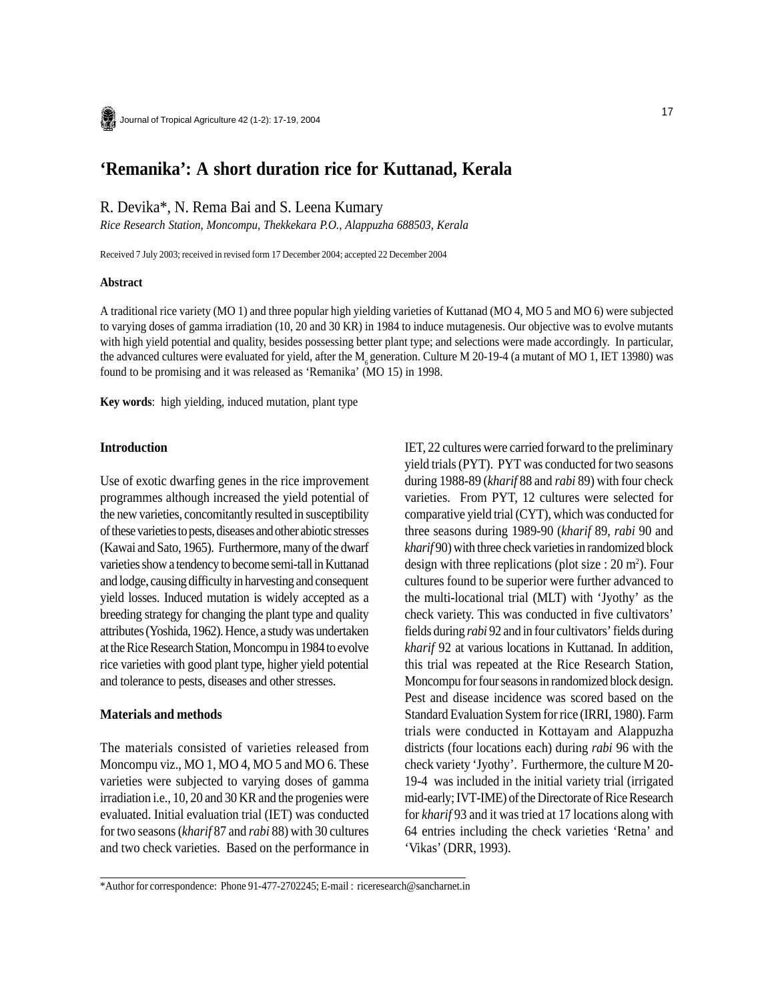# **'Remanika': A short duration rice for Kuttanad, Kerala**

R. Devika\*, N. Rema Bai and S. Leena Kumary

*Rice Research Station, Moncompu, Thekkekara P.O., Alappuzha 688503, Kerala*

Received 7 July 2003; received in revised form 17 December 2004; accepted 22 December 2004

#### **Abstract**

A traditional rice variety (MO 1) and three popular high yielding varieties of Kuttanad (MO 4, MO 5 and MO 6) were subjected to varying doses of gamma irradiation (10, 20 and 30 KR) in 1984 to induce mutagenesis. Our objective was to evolve mutants with high yield potential and quality, besides possessing better plant type; and selections were made accordingly. In particular, the advanced cultures were evaluated for yield, after the  $M<sub>c</sub>$  generation. Culture M 20-19-4 (a mutant of MO 1, IET 13980) was found to be promising and it was released as 'Remanika' (MO 15) in 1998.

**Key words**: high yielding, induced mutation, plant type

### **Introduction**

Use of exotic dwarfing genes in the rice improvement programmes although increased the yield potential of the new varieties, concomitantly resulted in susceptibility of these varieties to pests, diseases and other abiotic stresses (Kawai and Sato, 1965). Furthermore, many of the dwarf varieties show a tendency to become semi-tall in Kuttanad and lodge, causing difficulty in harvesting and consequent yield losses. Induced mutation is widely accepted as a breeding strategy for changing the plant type and quality attributes (Yoshida, 1962). Hence, a study was undertaken at the Rice Research Station, Moncompu in 1984 to evolve rice varieties with good plant type, higher yield potential and tolerance to pests, diseases and other stresses.

#### **Materials and methods**

The materials consisted of varieties released from Moncompu viz., MO 1, MO 4, MO 5 and MO 6. These varieties were subjected to varying doses of gamma irradiation i.e., 10, 20 and 30 KR and the progenies were evaluated. Initial evaluation trial (IET) was conducted for two seasons (*kharif* 87 and *rabi* 88) with 30 cultures and two check varieties. Based on the performance in IET, 22 cultures were carried forward to the preliminary yield trials (PYT). PYT was conducted for two seasons during 1988-89 (*kharif* 88 and *rabi* 89) with four check varieties. From PYT, 12 cultures were selected for comparative yield trial (CYT), which was conducted for three seasons during 1989-90 (*kharif* 89*, rabi* 90 and *kharif* 90) with three check varieties in randomized block design with three replications (plot size  $: 20 \text{ m}^2$ ). Four cultures found to be superior were further advanced to the multi-locational trial (MLT) with 'Jyothy' as the check variety. This was conducted in five cultivators' fields during *rabi* 92 and in four cultivators' fields during *kharif* 92 at various locations in Kuttanad. In addition, this trial was repeated at the Rice Research Station, Moncompu for four seasons in randomized block design. Pest and disease incidence was scored based on the Standard Evaluation System for rice (IRRI, 1980). Farm trials were conducted in Kottayam and Alappuzha districts (four locations each) during *rabi* 96 with the check variety 'Jyothy'. Furthermore, the culture M 20- 19-4 was included in the initial variety trial (irrigated mid-early; IVT-IME) of the Directorate of Rice Research for *kharif* 93 and it was tried at 17 locations along with 64 entries including the check varieties 'Retna' and 'Vikas' (DRR, 1993).

<sup>\*</sup>Author for correspondence: Phone 91-477-2702245; E-mail : riceresearch@sancharnet.in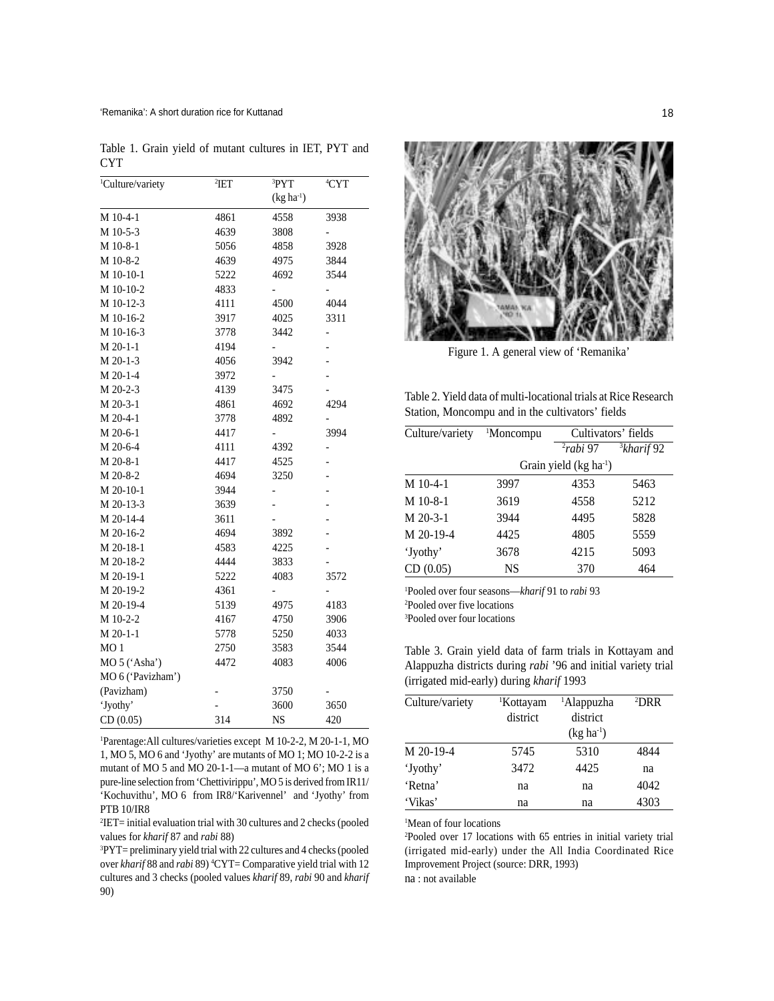Table 1. Grain yield of mutant cultures in IET, PYT and CYT

| <sup>1</sup> Culture/variety | <sup>2</sup> IET | <sup>3</sup> PYT | <sup>4</sup> CYT         |
|------------------------------|------------------|------------------|--------------------------|
|                              |                  | $(kg ha-1)$      |                          |
| M 10-4-1                     | 4861             | 4558             | 3938                     |
| M 10-5-3                     | 4639             | 3808             |                          |
| M 10-8-1                     | 5056             | 4858             | 3928                     |
| M 10-8-2                     | 4639             | 4975             | 3844                     |
| M 10-10-1                    | 5222             | 4692             | 3544                     |
| M 10-10-2                    | 4833             |                  |                          |
| M 10-12-3                    | 4111             | 4500             | 4044                     |
| M 10-16-2                    | 3917             | 4025             | 3311                     |
| M 10-16-3                    | 3778             | 3442             | -                        |
| $M 20-1-1$                   | 4194             |                  |                          |
| M 20-1-3                     | 4056             | 3942             |                          |
| M 20-1-4                     | 3972             |                  |                          |
| M 20-2-3                     | 4139             | 3475             |                          |
| M 20-3-1                     | 4861             | 4692             | 4294                     |
| M 20-4-1                     | 3778             | 4892             |                          |
| M 20-6-1                     | 4417             |                  | 3994                     |
| M 20-6-4                     | 4111             | 4392             |                          |
| M 20-8-1                     | 4417             | 4525             |                          |
| M 20-8-2                     | 4694             | 3250             | $\overline{\phantom{a}}$ |
| M 20-10-1                    | 3944             |                  | $\overline{\phantom{a}}$ |
| M 20-13-3                    | 3639             |                  |                          |
| M 20-14-4                    | 3611             |                  |                          |
| M 20-16-2                    | 4694             | 3892             |                          |
| M 20-18-1                    | 4583             | 4225             |                          |
| M 20-18-2                    | 4444             | 3833             |                          |
| M 20-19-1                    | 5222             | 4083             | 3572                     |
| M 20-19-2                    | 4361             | -                | -                        |
| M 20-19-4                    | 5139             | 4975             | 4183                     |
| M 10-2-2                     | 4167             | 4750             | 3906                     |
| M 20-1-1                     | 5778             | 5250             | 4033                     |
| MO <sub>1</sub>              | 2750             | 3583             | 3544                     |
| MO 5 ('Asha')                | 4472             | 4083             | 4006                     |
| MO 6 ('Pavizham')            |                  |                  |                          |
| (Pavizham)                   |                  | 3750             |                          |
| 'Jyothy'                     |                  | 3600             | 3650                     |
| CD(0.05)                     | 314              | <b>NS</b>        | 420                      |

1 Parentage:All cultures/varieties except M 10-2-2, M 20-1-1, MO 1, MO 5, MO 6 and 'Jyothy' are mutants of MO 1; MO 10-2-2 is a mutant of MO 5 and MO 20-1-1—a mutant of MO 6'; MO 1 is a pure-line selection from 'Chettivirippu', MO 5 is derived from IR11/ 'Kochuvithu', MO 6 from IR8/'Karivennel' and 'Jyothy' from PTB 10/IR8

2 IET= initial evaluation trial with 30 cultures and 2 checks (pooled values for *kharif* 87 and *rabi* 88)

3 PYT= preliminary yield trial with 22 cultures and 4 checks (pooled over *kharif* 88 and *rabi* 89) <sup>4</sup>CYT= Comparative yield trial with 12 cultures and 3 checks (pooled values *kharif* 89, *rabi* 90 and *kharif* 90)



Figure 1. A general view of 'Remanika'

Table 2. Yield data of multi-locational trials at Rice Research Station, Moncompu and in the cultivators' fields

| Culture/variety | <sup>1</sup> Moncompu |                                   | Cultivators' fields |
|-----------------|-----------------------|-----------------------------------|---------------------|
|                 |                       | $2$ rabi 97                       | $3$ kharif 92       |
|                 |                       | Grain yield (kg ha <sup>1</sup> ) |                     |
| $M$ 10-4-1      | 3997                  | 4353                              | 5463                |
| M 10-8-1        | 3619                  | 4558                              | 5212                |
| $M$ 20-3-1      | 3944                  | 4495                              | 5828                |
| M 20-19-4       | 4425                  | 4805                              | 5559                |
| 'Jyothy'        | 3678                  | 4215                              | 5093                |
| CD(0.05)        | <b>NS</b>             | 370                               | 464                 |

1 Pooled over four seasons—*kharif* 91 to *rabi* 93 2 Pooled over five locations 3 Pooled over four locations

Table 3. Grain yield data of farm trials in Kottayam and Alappuzha districts during *rabi* '96 and initial variety trial (irrigated mid-early) during *kharif* 1993

| Culture/variety | <sup>1</sup> Kottayam | <sup>1</sup> Alappuzha | ${}^{2}DRR$ |  |
|-----------------|-----------------------|------------------------|-------------|--|
|                 | district              | district               |             |  |
|                 |                       | $(kg ha-1)$            |             |  |
| M 20-19-4       | 5745                  | 5310                   | 4844        |  |
| 'Jyothy'        | 3472                  | 4425                   | na          |  |
| 'Retna'         | na                    | na                     | 4042        |  |
| 'Vikas'         | na                    | na                     | 4303        |  |

<sup>1</sup>Mean of four locations

2 Pooled over 17 locations with 65 entries in initial variety trial (irrigated mid-early) under the All India Coordinated Rice Improvement Project (source: DRR, 1993)

na : not available